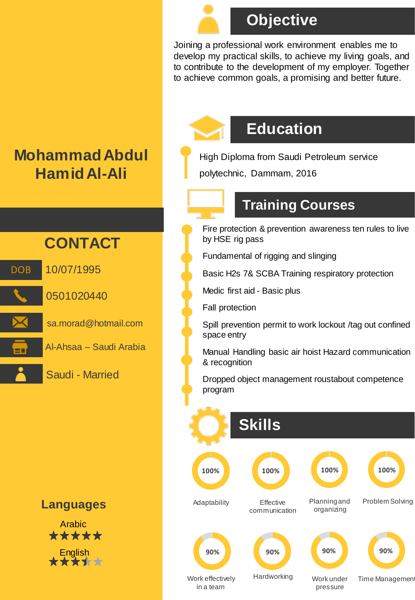

# **Objective**

Joining a professional work environment enables me to develop my practical skills, to achieve my living goals, and to contribute to the development of my employer. Together to achieve common goals, a promising and better future.



# **Education**

High Diploma from Saudi Petroleum service polytechnic, Dammam, 2016

#### **Training Courses**

Fire protection & prevention awareness ten rules to live by HSE rig pass

Fundamental of rigging and slinging

Basic H2s 7& SCBA Training respiratory protection

Medic first aid - Basic plus

Fall protection

Spill prevention permit to work lockout /tag out confined space entry

Manual Handling basic air hoist Hazard communication & recognition

Dropped object management roustabout competence program



# **Mohammad Abdul Hamid Al-Ali**





**Languages**